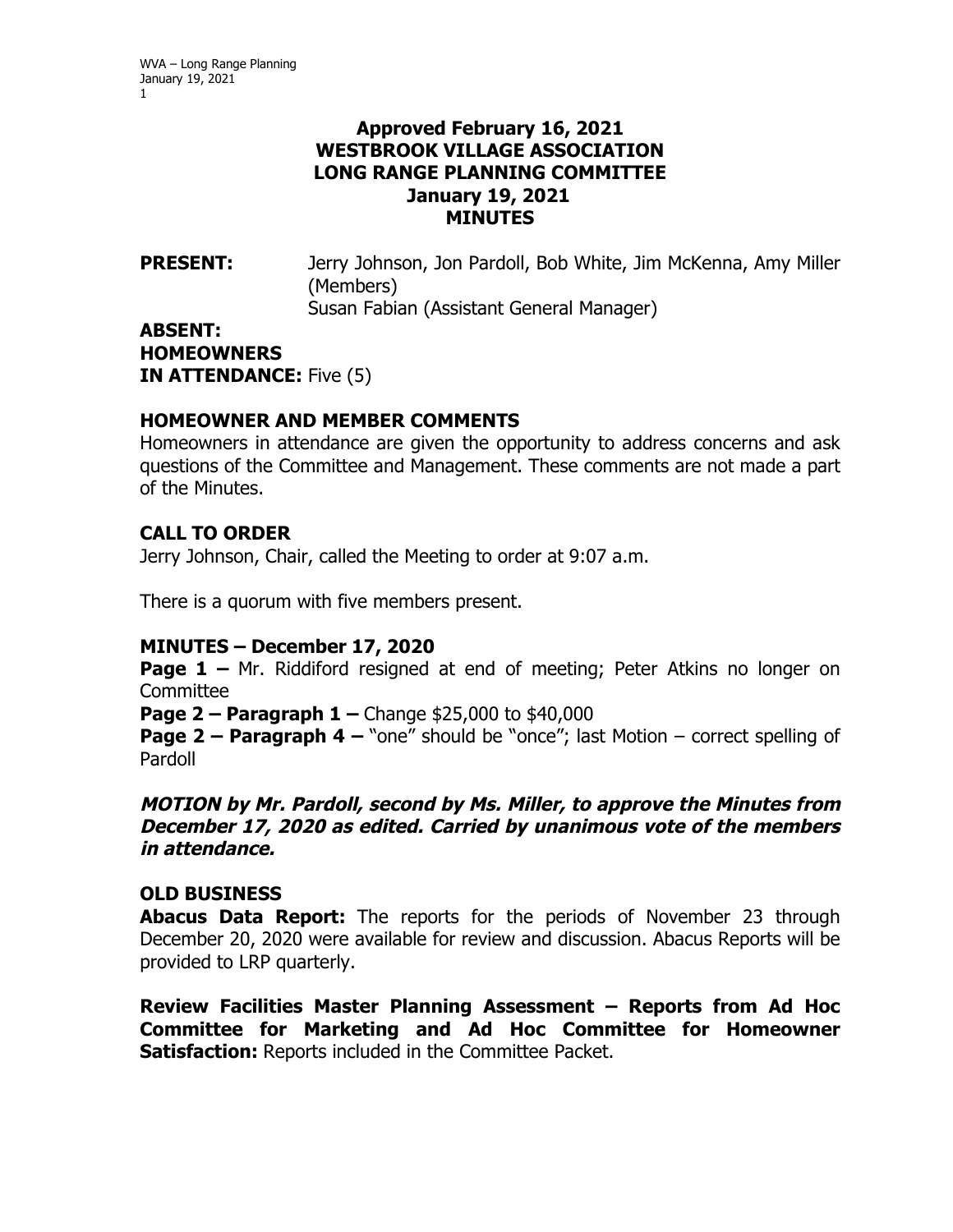## **Approved February 16, 2021 WESTBROOK VILLAGE ASSOCIATION LONG RANGE PLANNING COMMITTEE January 19, 2021 MINUTES**

PRESENT: Jerry Johnson, Jon Pardoll, Bob White, Jim McKenna, Amy Miller (Members) Susan Fabian (Assistant General Manager)

**ABSENT: HOMEOWNERS IN ATTENDANCE:** Five (5)

## **HOMEOWNER AND MEMBER COMMENTS**

Homeowners in attendance are given the opportunity to address concerns and ask questions of the Committee and Management. These comments are not made a part of the Minutes.

# **CALL TO ORDER**

Jerry Johnson, Chair, called the Meeting to order at 9:07 a.m.

There is a quorum with five members present.

# **MINUTES – December 17, 2020**

**Page 1 –** Mr. Riddiford resigned at end of meeting; Peter Atkins no longer on Committee

**Page 2 – Paragraph 1 –** Change \$25,000 to \$40,000

**Page 2 – Paragraph 4 –** "one" should be "once"; last Motion – correct spelling of Pardoll

## **MOTION by Mr. Pardoll, second by Ms. Miller, to approve the Minutes from December 17, 2020 as edited. Carried by unanimous vote of the members in attendance.**

# **OLD BUSINESS**

**Abacus Data Report:** The reports for the periods of November 23 through December 20, 2020 were available for review and discussion. Abacus Reports will be provided to LRP quarterly.

**Review Facilities Master Planning Assessment – Reports from Ad Hoc Committee for Marketing and Ad Hoc Committee for Homeowner Satisfaction:** Reports included in the Committee Packet.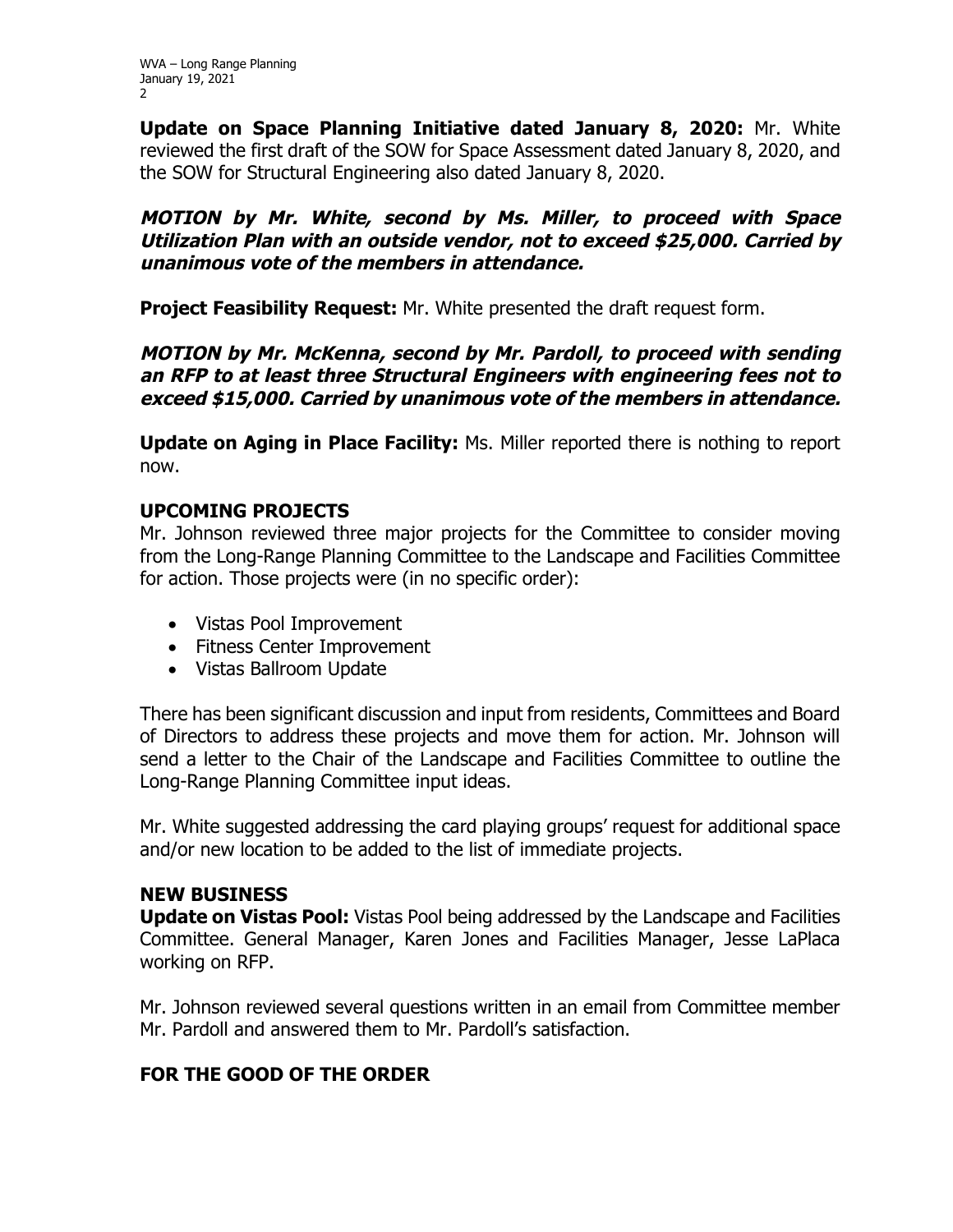**Update on Space Planning Initiative dated January 8, 2020:** Mr. White reviewed the first draft of the SOW for Space Assessment dated January 8, 2020, and the SOW for Structural Engineering also dated January 8, 2020.

**MOTION by Mr. White, second by Ms. Miller, to proceed with Space Utilization Plan with an outside vendor, not to exceed \$25,000. Carried by unanimous vote of the members in attendance.** 

**Project Feasibility Request:** Mr. White presented the draft request form.

**MOTION by Mr. McKenna, second by Mr. Pardoll, to proceed with sending an RFP to at least three Structural Engineers with engineering fees not to exceed \$15,000. Carried by unanimous vote of the members in attendance.** 

**Update on Aging in Place Facility:** Ms. Miller reported there is nothing to report now.

## **UPCOMING PROJECTS**

Mr. Johnson reviewed three major projects for the Committee to consider moving from the Long-Range Planning Committee to the Landscape and Facilities Committee for action. Those projects were (in no specific order):

- Vistas Pool Improvement
- Fitness Center Improvement
- Vistas Ballroom Update

There has been significant discussion and input from residents, Committees and Board of Directors to address these projects and move them for action. Mr. Johnson will send a letter to the Chair of the Landscape and Facilities Committee to outline the Long-Range Planning Committee input ideas.

Mr. White suggested addressing the card playing groups' request for additional space and/or new location to be added to the list of immediate projects.

# **NEW BUSINESS**

**Update on Vistas Pool:** Vistas Pool being addressed by the Landscape and Facilities Committee. General Manager, Karen Jones and Facilities Manager, Jesse LaPlaca working on RFP.

Mr. Johnson reviewed several questions written in an email from Committee member Mr. Pardoll and answered them to Mr. Pardoll's satisfaction.

# **FOR THE GOOD OF THE ORDER**